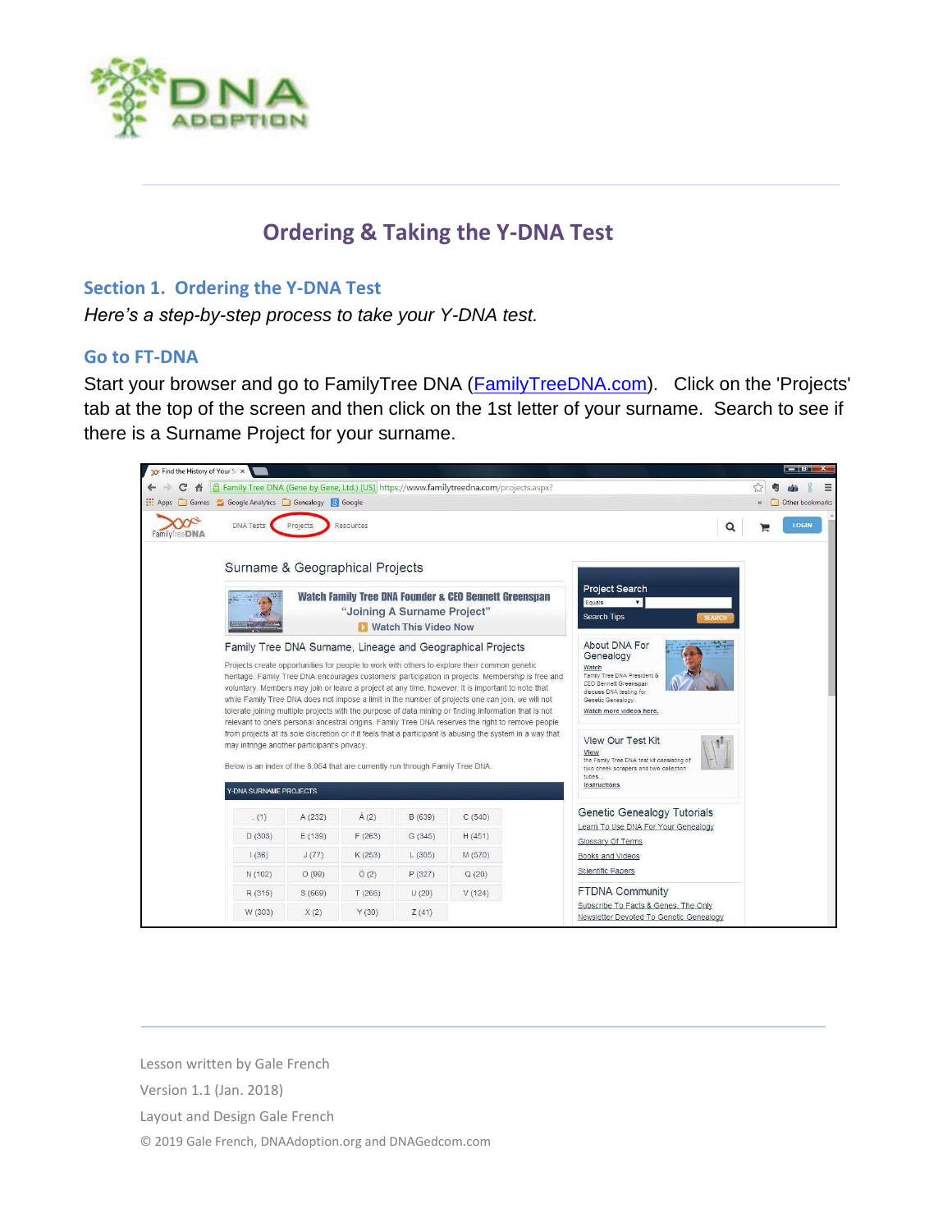

# **Ordering & Taking the Y-DNA Test**

### **Section 1. Ordering the Y-DNA Test**

*Here's a step-by-step process to take your Y-DNA test.* 

### **Go to FT-DNA**

Start your browser and go to FamilyTree DNA [\(FamilyTreeDNA.com\)](https://www.familytreedna.com/). Click on the 'Projects' tab at the top of the screen and then click on the 1st letter of your surname. Search to see if there is a Surname Project for your surname.



Lesson written by Gale French

Version 1.1 (Jan. 2018)

Layout and Design Gale French

© 2019 Gale French, DNAAdoption.org and DNAGedcom.com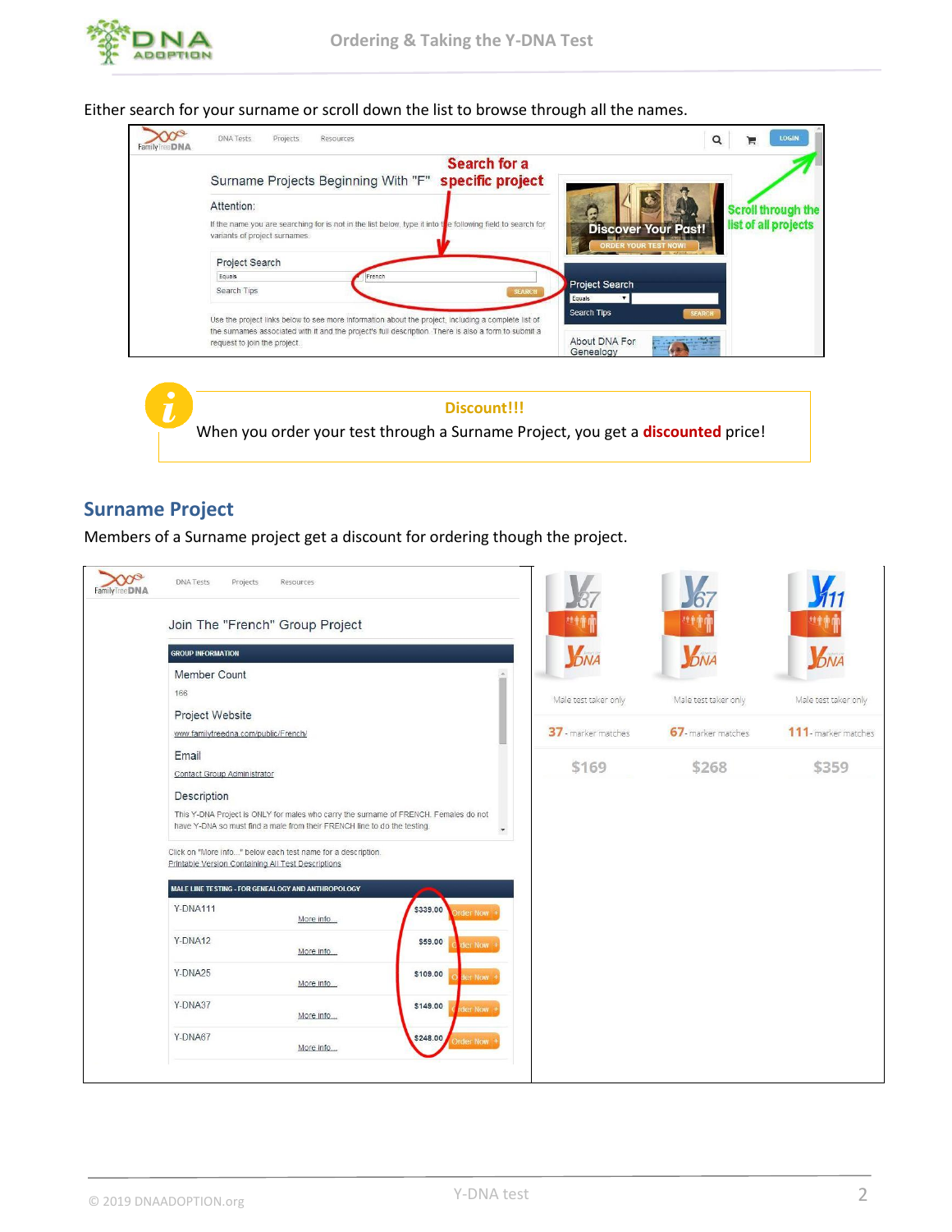

Either search for your surname or scroll down the list to browse through all the names.





### **Surname Project**

Members of a Surname project get a discount for ordering though the project.

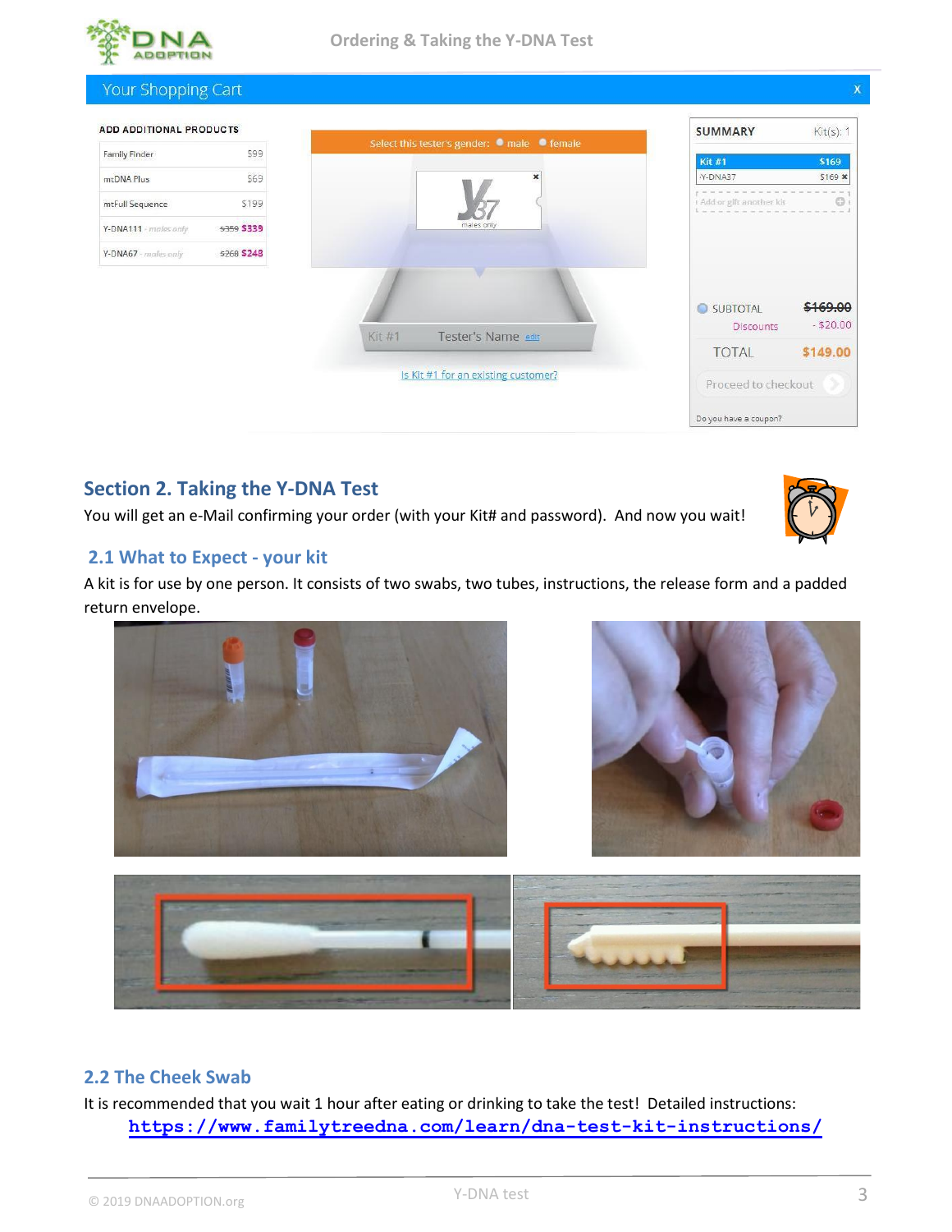



## **Section 2. Taking the Y-DNA Test**

You will get an e-Mail confirming your order (with your Kit# and password). And now you wait!

### **2.1 What to Expect - your kit**

A kit is for use by one person. It consists of two swabs, two tubes, instructions, the release form and a padded return envelope.







### **2.2 The Cheek Swab**

It is recommended that you wait 1 hour after eating or drinking to take the test! Detailed instructions: **<https://www.familytreedna.com/learn/dna-test-kit-instructions/>**

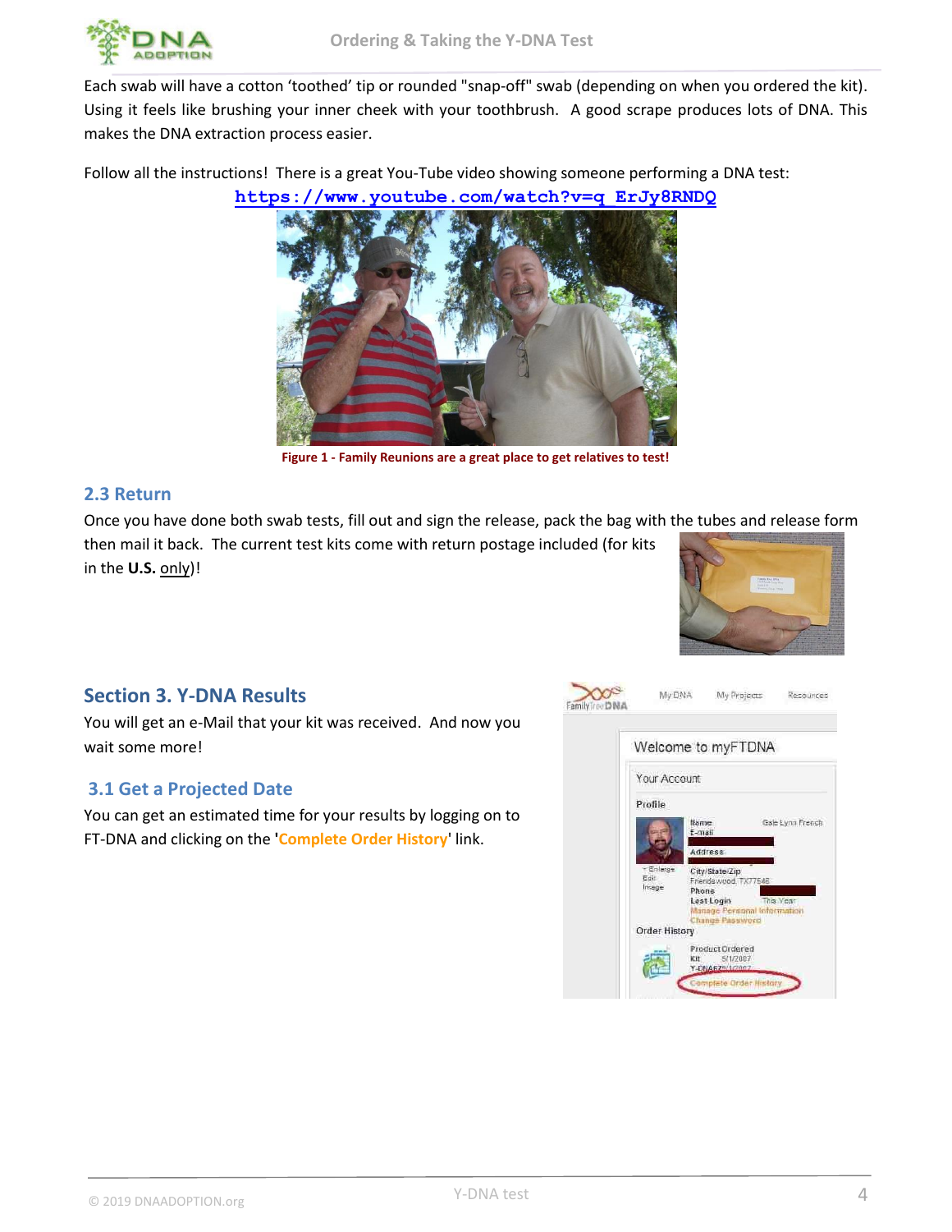

Each swab will have a cotton 'toothed' tip or rounded "snap-off" swab (depending on when you ordered the kit). Using it feels like brushing your inner cheek with your toothbrush. A good scrape produces lots of DNA. This makes the DNA extraction process easier.

Follow all the instructions! There is a great You-Tube video showing someone performing a DNA test:

**[https://www.youtube.com/watch?v=q\\_ErJy8RNDQ](https://www.youtube.com/watch?v=q_ErJy8RNDQ)**



**Figure 1 - Family Reunions are a great place to get relatives to test!**

### **2.3 Return**

Once you have done both swab tests, fill out and sign the release, pack the bag with the tubes and release form then mail it back. The current test kits come with return postage included (for kits

in the **U.S.** only)!



### **Section 3. Y-DNA Results**

You will get an e-Mail that your kit was received. And now you wait some more!

### **3.1 Get a Projected Date**

You can get an estimated time for your results by logging on to FT-DNA and clicking on the **'Complete Order History**' link.

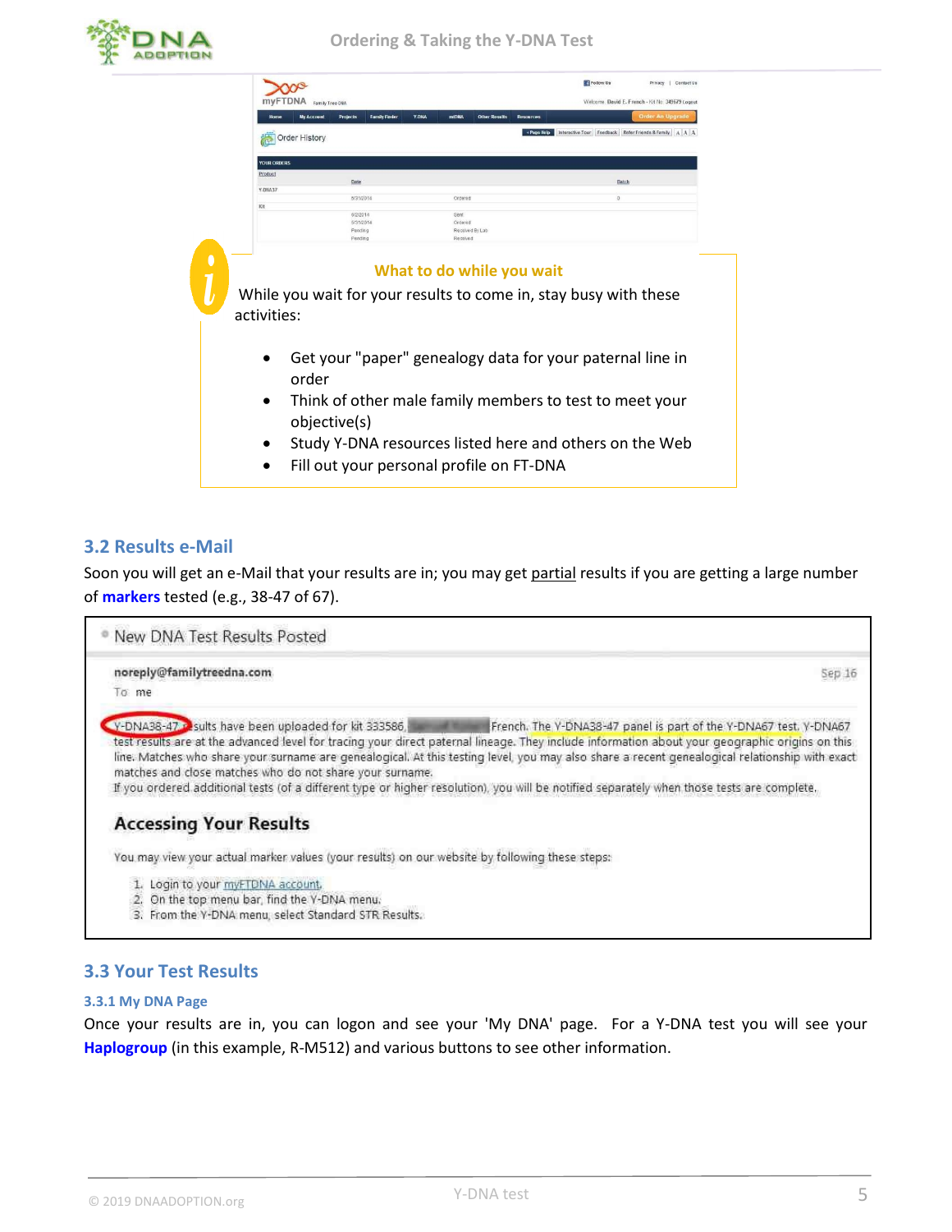

|                    | Family Tree DNA   |                                         |       | Welcome, David E. French - Kit No. 349679 Logout                                              |                  |         |                                                        |
|--------------------|-------------------|-----------------------------------------|-------|-----------------------------------------------------------------------------------------------|------------------|---------|--------------------------------------------------------|
|                    | <b>My Account</b> | <b>Projects</b><br><b>Family Finder</b> | Y-DNA | <b>mtDNA</b><br><b>Other Results</b>                                                          | <b>Resources</b> |         | <b>Order An Upgrade</b>                                |
|                    | Order History     |                                         |       |                                                                                               | + Page Help      |         | Interactive Tour Feedback Refer Friends & Family A A A |
| <b>YOUR ORDERS</b> |                   |                                         |       |                                                                                               |                  |         |                                                        |
| Product            |                   | Date                                    |       |                                                                                               |                  | Batch   |                                                        |
| Y-DNA37            |                   | 5/31/2014                               |       | Ordered                                                                                       |                  | $\circ$ |                                                        |
| Kit                |                   |                                         |       |                                                                                               |                  |         |                                                        |
|                    |                   | 6/2/2014<br>5/31/2014                   |       | Sent<br>Ordered                                                                               |                  |         |                                                        |
|                    |                   | Pending<br>Pending                      |       | Received By Lab<br>Received                                                                   |                  |         |                                                        |
| activities:        |                   |                                         |       | What to do while you wait<br>While you wait for your results to come in, stay busy with these |                  |         |                                                        |
|                    |                   |                                         |       | Get your "paper" genealogy data for your paternal line in                                     |                  |         |                                                        |
|                    | order             |                                         |       |                                                                                               |                  |         |                                                        |
| $\bullet$          | objective(s)      |                                         |       | Think of other male family members to test to meet your                                       |                  |         |                                                        |
| $\bullet$          |                   |                                         |       | Study Y-DNA resources listed here and others on the Web                                       |                  |         |                                                        |

### **3.2 Results e-Mail**

Soon you will get an e-Mail that your results are in; you may get partial results if you are getting a large number of **markers** tested (e.g., 38-47 of 67).



### **3.3 Your Test Results**

#### **3.3.1 My DNA Page**

Once your results are in, you can logon and see your 'My DNA' page. For a Y-DNA test you will see your **Haplogroup** (in this example, R-M512) and various buttons to see other information.